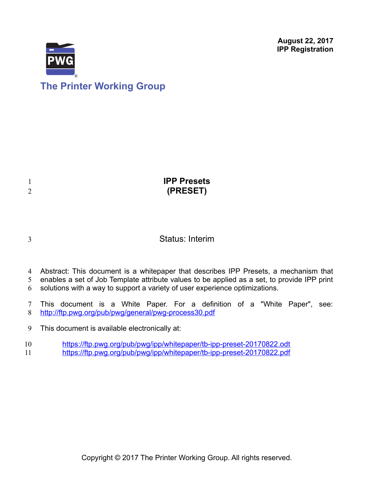**August 22, 2017 IPP Registration**



|  |  | <b>The Printer Working Group</b> |  |
|--|--|----------------------------------|--|
|--|--|----------------------------------|--|

1 2

3

| <b>IPP Presets</b> |
|--------------------|
| (PRESET)           |
|                    |

# Status: Interim

- Abstract: This document is a whitepaper that describes IPP Presets, a mechanism that 4
- enables a set of Job Template attribute values to be applied as a set, to provide IPP print 5
- solutions with a way to support a variety of user experience optimizations. 6
- This document is a White Paper. For a definition of a "White Paper", see: <http://ftp.pwg.org/pub/pwg/general/pwg-process30.pdf> 7 8
- This document is available electronically at: 9
- <https://ftp.pwg.org/pub/pwg/ipp/whitepaper/tb-ipp-preset-20170822.odt> 10 11
	- <https://ftp.pwg.org/pub/pwg/ipp/whitepaper/tb-ipp-preset-20170822.pdf>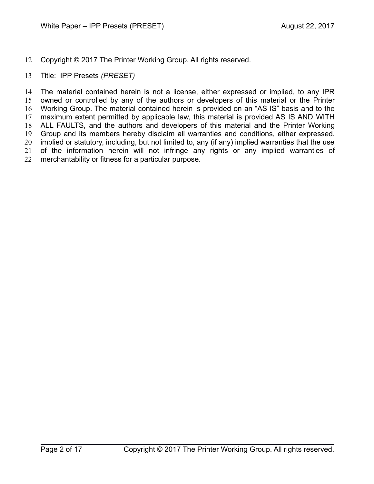- Copyright © 2017 The Printer Working Group. All rights reserved. 12
- Title: IPP Presets *(PRESET)* 13

The material contained herein is not a license, either expressed or implied, to any IPR owned or controlled by any of the authors or developers of this material or the Printer Working Group. The material contained herein is provided on an "AS IS" basis and to the maximum extent permitted by applicable law, this material is provided AS IS AND WITH ALL FAULTS, and the authors and developers of this material and the Printer Working Group and its members hereby disclaim all warranties and conditions, either expressed, implied or statutory, including, but not limited to, any (if any) implied warranties that the use of the information herein will not infringe any rights or any implied warranties of merchantability or fitness for a particular purpose. 14 15 16 17 18 19 20 21 22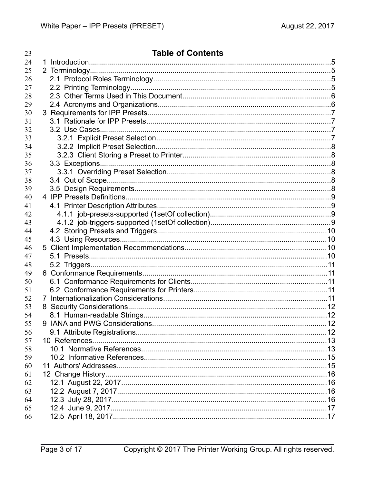| 23 | <b>Table of Contents</b> |  |
|----|--------------------------|--|
| 24 | 1.                       |  |
| 25 |                          |  |
| 26 |                          |  |
| 27 |                          |  |
| 28 |                          |  |
| 29 |                          |  |
| 30 |                          |  |
| 31 |                          |  |
| 32 |                          |  |
| 33 |                          |  |
| 34 |                          |  |
| 35 |                          |  |
| 36 |                          |  |
| 37 |                          |  |
| 38 |                          |  |
| 39 |                          |  |
| 40 |                          |  |
| 41 |                          |  |
| 42 |                          |  |
| 43 |                          |  |
| 44 |                          |  |
| 45 |                          |  |
| 46 |                          |  |
| 47 |                          |  |
| 48 |                          |  |
| 49 |                          |  |
| 50 |                          |  |
| 51 |                          |  |
| 52 |                          |  |
| 53 |                          |  |
| 54 |                          |  |
| 55 |                          |  |
| 56 |                          |  |
| 57 |                          |  |
| 58 |                          |  |
| 59 |                          |  |
| 60 |                          |  |
| 61 |                          |  |
| 62 |                          |  |
| 63 |                          |  |
| 64 |                          |  |
| 65 |                          |  |
| 66 |                          |  |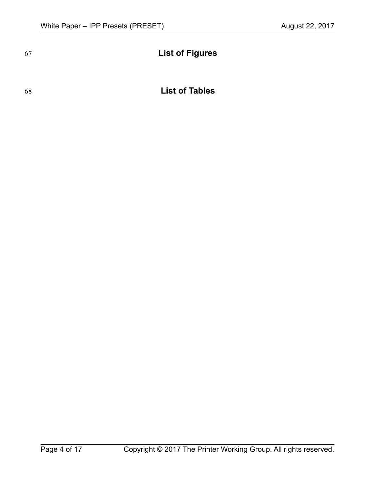# **List of Figures**

# 68

# **List of Tables**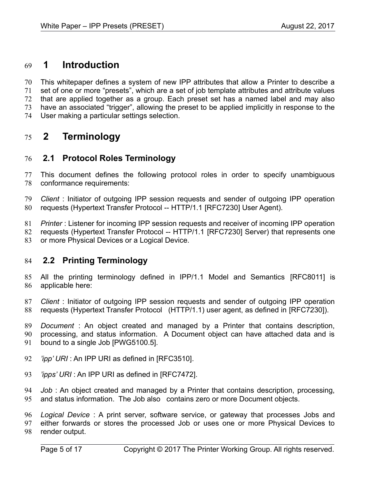# **1 Introduction** 69

This whitepaper defines a system of new IPP attributes that allow a Printer to describe a set of one or more "presets", which are a set of job template attributes and attribute values that are applied together as a group. Each preset set has a named label and may also have an associated "trigger", allowing the preset to be applied implicitly in response to the User making a particular settings selection. 70 71 72 73 74

# **2 Terminology** 75

# **2.1 Protocol Roles Terminology** 76

This document defines the following protocol roles in order to specify unambiguous conformance requirements: 77 78

*Client* : Initiator of outgoing IPP session requests and sender of outgoing IPP operation requests (Hypertext Transfer Protocol -- HTTP/1.1 [\[RFC7230\]](#page-13-0) User Agent). 79 80

*Printer* : Listener for incoming IPP session requests and receiver of incoming IPP operation requests (Hypertext Transfer Protocol -- HTTP/1.1 [\[RFC7230\]](#page-13-0) Server) that represents one or more Physical Devices or a Logical Device. 81 82 83

## **2.2 Printing Terminology** 84

All the printing terminology defined in IPP/1.1 Model and Semantics [\[RFC8011\]](#page-13-2) is applicable here: 85 86

*Client* : Initiator of outgoing IPP session requests and sender of outgoing IPP operation requests (Hypertext Transfer Protocol (HTTP/1.1) user agent, as defined in [\[RFC7230\]\)](#page-13-0). 87 88

*Document* : An object created and managed by a Printer that contains description, processing, and status information. A Document object can have attached data and is bound to a single Job [PWG5100.5]. 89 90 91

- *'ipp' URI* : An IPP URI as defined in [\[RFC3510\].](#page-12-0) 92
- *'ipps' URI* : An IPP URI as defined in [\[RFC7472\].](#page-13-1) 93

*Job* : An object created and managed by a Printer that contains description, processing, and status information. The Job also contains zero or more Document objects. 94 95

*Logical Device* : A print server, software service, or gateway that processes Jobs and either forwards or stores the processed Job or uses one or more Physical Devices to render output. 96 97 98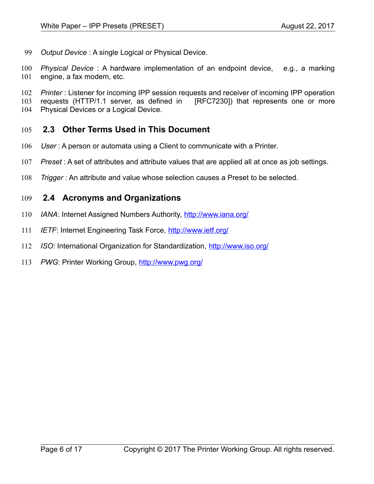*Output Device* : A single Logical or Physical Device. 99

*Physical Device* : A hardware implementation of an endpoint device, e.g., a marking engine, a fax modem, etc. 100 101

*Printer* : Listener for incoming IPP session requests and receiver of incoming IPP operation requests (HTTP/1.1 server, as defined in [\[RFC7230\]\)](#page-13-0) that represents one or more Physical Devices or a Logical Device. 102 103 104

- **2.3 Other Terms Used in This Document** 105
- User: A person or automata using a Client to communicate with a Printer. 106
- *Preset* : A set of attributes and attribute values that are applied all at once as job settings. 107
- *Trigger* : An attribute and value whose selection causes a Preset to be selected. 108

## **2.4 Acronyms and Organizations** 109

- *IANA*: Internet Assigned Numbers Authority,<http://www.iana.org/> 110
- *IETF*: Internet Engineering Task Force,<http://www.ietf.org/> 111
- *ISO*: International Organization for Standardization,<http://www.iso.org/> 112
- *PWG*: Printer Working Group,<http://www.pwg.org/> 113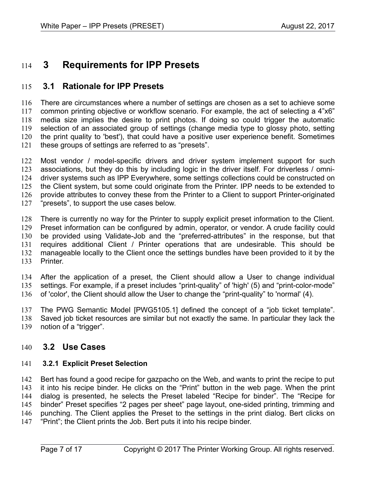# **3 Requirements for IPP Presets** 114

# **3.1 Rationale for IPP Presets** 115

There are circumstances where a number of settings are chosen as a set to achieve some common printing objective or workflow scenario. For example, the act of selecting a 4"x6" media size implies the desire to print photos. If doing so could trigger the automatic selection of an associated group of settings (change media type to glossy photo, setting the print quality to 'best'), that could have a positive user experience benefit. Sometimes these groups of settings are referred to as "presets". 116 117 118 119 120 121

Most vendor / model-specific drivers and driver system implement support for such associations, but they do this by including logic in the driver itself. For driverless / omnidriver systems such as IPP Everywhere, some settings collections could be constructed on the Client system, but some could originate from the Printer. IPP needs to be extended to provide attributes to convey these from the Printer to a Client to support Printer-originated "presets", to support the use cases below. 122 123 124 125 126 127

There is currently no way for the Printer to supply explicit preset information to the Client. Preset information can be configured by admin, operator, or vendor. A crude facility could be provided using Validate-Job and the "preferred-attributes" in the response, but that requires additional Client / Printer operations that are undesirable. This should be manageable locally to the Client once the settings bundles have been provided to it by the Printer. 128 129 130 131 132 133

After the application of a preset, the Client should allow a User to change individual settings. For example, if a preset includes "print-quality" of 'high' (5) and "print-color-mode" of 'color', the Client should allow the User to change the "print-quality" to 'normal' (4). 134 135 136

The PWG Semantic Model [\[PWG5105.1\]](#page-14-0) defined the concept of a "job ticket template". Saved job ticket resources are similar but not exactly the same. In particular they lack the notion of a "trigger". 137 138 139

## **3.2 Use Cases** 140

#### **3.2.1 Explicit Preset Selection** 141

Bert has found a good recipe for gazpacho on the Web, and wants to print the recipe to put it into his recipe binder. He clicks on the "Print" button in the web page. When the print dialog is presented, he selects the Preset labeled "Recipe for binder". The "Recipe for binder" Preset specifies "2 pages per sheet" page layout, one-sided printing, trimming and punching. The Client applies the Preset to the settings in the print dialog. Bert clicks on "Print"; the Client prints the Job. Bert puts it into his recipe binder. 142 143 144 145 146 147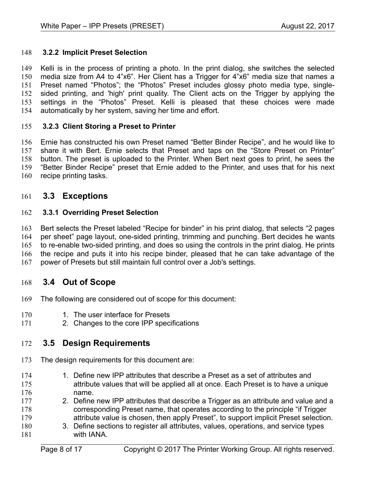#### **3.2.2 Implicit Preset Selection** 148

Kelli is in the process of printing a photo. In the print dialog, she switches the selected media size from A4 to 4"x6". Her Client has a Trigger for 4"x6" media size that names a Preset named "Photos"; the "Photos" Preset includes glossy photo media type, singlesided printing, and 'high' print quality. The Client acts on the Trigger by applying the settings in the "Photos" Preset. Kelli is pleased that these choices were made automatically by her system, saving her time and effort. 149 150 151 152 153 154

#### <span id="page-7-0"></span> **3.2.3 Client Storing a Preset to Printer** 155

Ernie has constructed his own Preset named "Better Binder Recipe", and he would like to share it with Bert. Ernie selects that Preset and taps on the "Store Preset on Printer" button. The preset is uploaded to the Printer. When Bert next goes to print, he sees the "Better Binder Recipe" preset that Ernie added to the Printer, and uses that for his next recipe printing tasks. 156 157 158 159 160

## **3.3 Exceptions** 161

#### **3.3.1 Overriding Preset Selection** 162

Bert selects the Preset labeled "Recipe for binder" in his print dialog, that selects "2 pages per sheet" page layout, one-sided printing, trimming and punching. Bert decides he wants to re-enable two-sided printing, and does so using the controls in the print dialog. He prints the recipe and puts it into his recipe binder, pleased that he can take advantage of the power of Presets but still maintain full control over a Job's settings. 163 164 165 166 167

## **3.4 Out of Scope** 168

- The following are considered out of scope for this document: 169
- 1. The user interface for Presets 170
- 2. Changes to the core IPP specifications 171

## **3.5 Design Requirements** 172

- The design requirements for this document are: 173
- 1. Define new IPP attributes that describe a Preset as a set of attributes and attribute values that will be applied all at once. Each Preset is to have a unique name. 174 175 176
- 2. Define new IPP attributes that describe a Trigger as an attribute and value and a corresponding Preset name, that operates according to the principle "if Trigger attribute value is chosen, then apply Preset", to support implicit Preset selection. 177 178 179
- 3. Define sections to register all attributes, values, operations, and service types with IANA. 180 181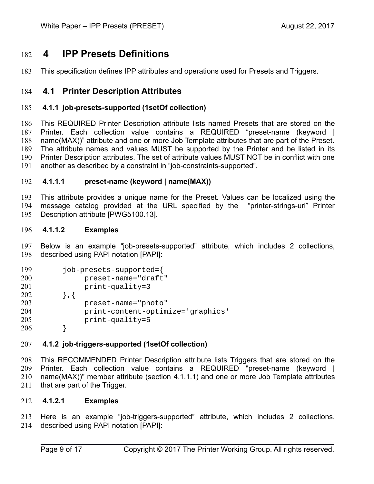# **4 IPP Presets Definitions** 182

This specification defines IPP attributes and operations used for Presets and Triggers. 183

## <span id="page-8-1"></span> **4.1 Printer Description Attributes** 184

#### **4.1.1 job-presets-supported (1setOf collection)** 185

This REQUIRED Printer Description attribute lists named Presets that are stored on the Printer. Each collection value contains a REQUIRED "preset-name (keyword | name(MAX))" attribute and one or more Job Template attributes that are part of the Preset. The attribute names and values MUST be supported by the Printer and be listed in its Printer Description attributes. The set of attribute values MUST NOT be in conflict with one another as described by a constraint in "job-constraints-supported". 186 187 188 189 190 191

#### <span id="page-8-0"></span> **4.1.1.1 preset-name (keyword | name(MAX))** 192

This attribute provides a unique name for the Preset. Values can be localized using the message catalog provided at the URL specified by the "printer-strings-uri" Printer Description attribute [\[PWG5100.13\].](#page-12-1) 193 194 195

#### **4.1.1.2 Examples** 196

Below is an example "job-presets-supported" attribute, which includes 2 collections, described using PAPI notation [\[PAPI\]:](#page-14-1) 197 198

| 199 | job-presets-supported={           |  |
|-----|-----------------------------------|--|
| 200 | preset-name="draft"               |  |
| 201 | $print-quality=3$                 |  |
| 202 |                                   |  |
| 203 | preset-name="photo"               |  |
| 204 | print-content-optimize='graphics' |  |
| 205 | $print-quality=5$                 |  |
| 206 |                                   |  |

#### **4.1.2 job-triggers-supported (1setOf collection)** 207

This RECOMMENDED Printer Description attribute lists Triggers that are stored on the Printer. Each collection value contains a REQUIRED "preset-name (keyword | name(MAX))" member attribute (section [4.1.1.1\)](#page-8-0) and one or more Job Template attributes that are part of the Trigger. 208 209 210 211

#### **4.1.2.1 Examples** 212

Here is an example "job-triggers-supported" attribute, which includes 2 collections, described using PAPI notation [\[PAPI\]:](#page-14-1) 213 214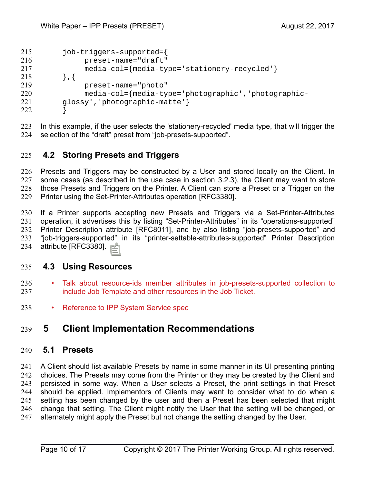| 215 | job-triggers-supported={                            |
|-----|-----------------------------------------------------|
| 216 | preset-name="draft"                                 |
| 217 | media-col={media-type='stationery-recycled'}        |
| 218 | $\}$ , {                                            |
| 219 | preset-name="photo"                                 |
| 220 | media-col={media-type='photographic','photographic- |
| 221 | glossy', 'photographic-matte'}                      |
| 222 |                                                     |

In this example, if the user selects the 'stationery-recycled' media type, that will trigger the selection of the "draft" preset from "job-presets-supported". 223 224

## **4.2 Storing Presets and Triggers** 225

Presets and Triggers may be constructed by a User and stored locally on the Client. In some cases (as described in the use case in section [3.2.3\)](#page-7-0), the Client may want to store those Presets and Triggers on the Printer. A Client can store a Preset or a Trigger on the Printer using the Set-Printer-Attributes operation [\[RFC3380\].](#page-13-3) 226 227 228 229

If a Printer supports accepting new Presets and Triggers via a Set-Printer-Attributes operation, it advertises this by listing "Set-Printer-Attributes" in its "operations-supported" Printer Description attribute [\[RFC8011\],](#page-13-2) and by also listing "job-presets-supported" and "job-triggers-supported" in its "printer-settable-attributes-supported" Printer Description attribute [\[RFC3380\].](#page-13-3) 230 231 232 233 234

## **4.3 Using Resources** 235

- Talk about resource-ids member attributes in job-presets-supported collection to include Job Template and other resources in the Job Ticket. 236 237
- Reference to IPP System Service spec 238

# **5 Client Implementation Recommendations** 239

## **5.1 Presets** 240

A Client should list available Presets by name in some manner in its UI presenting printing choices. The Presets may come from the Printer or they may be created by the Client and persisted in some way. When a User selects a Preset, the print settings in that Preset should be applied. Implementors of Clients may want to consider what to do when a setting has been changed by the user and then a Preset has been selected that might change that setting. The Client might notify the User that the setting will be changed, or alternately might apply the Preset but not change the setting changed by the User. 241 242 243 244 245 246 247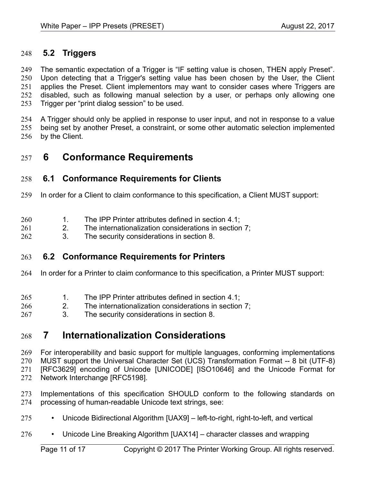# **5.2 Triggers** 248

The semantic expectation of a Trigger is "IF setting value is chosen, THEN apply Preset". Upon detecting that a Trigger's setting value has been chosen by the User, the Client applies the Preset. Client implementors may want to consider cases where Triggers are disabled, such as following manual selection by a user, or perhaps only allowing one Trigger per "print dialog session" to be used. 249 250 251 252 253

A Trigger should only be applied in response to user input, and not in response to a value being set by another Preset, a constraint, or some other automatic selection implemented by the Client. 254 255 256

# **6 Conformance Requirements** 257

# **6.1 Conformance Requirements for Clients** 258

- In order for a Client to claim conformance to this specification, a Client MUST support: 259
- 1. The IPP Printer attributes defined in section [4.1;](#page-8-1) 260
- 2. The internationalization considerations in section [7;](#page-10-0) 261
- 3. The security considerations in section [8.](#page-11-0) 262

## **6.2 Conformance Requirements for Printers** 263

- In order for a Printer to claim conformance to this specification, a Printer MUST support: 264
- 1. The IPP Printer attributes defined in section [4.1;](#page-8-1) 265
- 2. The internationalization considerations in section [7;](#page-10-0) 266
- 3. The security considerations in section [8.](#page-11-0) 267

# <span id="page-10-0"></span> **7 Internationalization Considerations** 268

For interoperability and basic support for multiple languages, conforming implementations MUST support the Universal Character Set (UCS) Transformation Format -- 8 bit (UTF-8) [RFC3629] encoding of Unicode [\[UNICODE\]](#page-13-7) [\[ISO10646\]](#page-12-2) and the Unicode Format for Network Interchange [\[RFC5198\].](#page-13-6) 269 270 271 272

Implementations of this specification SHOULD conform to the following standards on processing of human-readable Unicode text strings, see: 273 274

- Unicode Bidirectional Algorithm [\[UAX9\]](#page-13-5)  left-to-right, right-to-left, and vertical 275
- Unicode Line Breaking Algorithm [\[UAX14\]](#page-13-4)  character classes and wrapping 276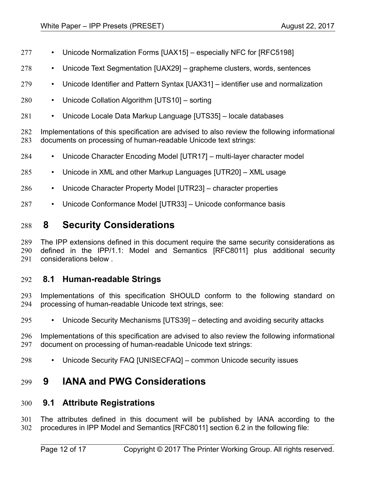- Unicode Normalization Forms [\[UAX15\]](#page-13-12)  especially NFC for [\[RFC5198\]](#page-13-6) 277
- Unicode Text Segmentation [\[UAX29\]](#page-13-11)  grapheme clusters, words, sentences 278
- Unicode Identifier and Pattern Syntax [\[UAX31\]](#page-13-10)  identifier use and normalization 279
- Unicode Collation Algorithm [\[UTS10\]](#page-13-9)  sorting 280
- Unicode Locale Data Markup Language [\[UTS35\]](#page-13-8)  locale databases 281

Implementations of this specification are advised to also review the following informational documents on processing of human-readable Unicode text strings: 282 283

- Unicode Character Encoding Model [\[UTR17\]](#page-14-7)  multi-layer character model 284
- Unicode in XML and other Markup Languages [\[UTR20\]](#page-14-6)  XML usage 285
- Unicode Character Property Model [\[UTR23\]](#page-14-5)  character properties 286
- Unicode Conformance Model [\[UTR33\]](#page-14-4)  Unicode conformance basis 287

# <span id="page-11-0"></span> **8 Security Considerations** 288

The IPP extensions defined in this document require the same security considerations as defined in the IPP/1.1: Model and Semantics [\[RFC8011\]](#page-13-2) plus additional security considerations below . 289 290 291

## **8.1 Human-readable Strings**  292

Implementations of this specification SHOULD conform to the following standard on processing of human-readable Unicode text strings, see: 293 294

- Unicode Security Mechanisms [\[UTS39\]](#page-14-3)  detecting and avoiding security attacks 295
- Implementations of this specification are advised to also review the following informational document on processing of human-readable Unicode text strings: 296 297
- Unicode Security FAQ [\[UNISECFAQ\]](#page-14-2)  common Unicode security issues 298

# **9 IANA and PWG Considerations** 299

## **9.1 Attribute Registrations** 300

The attributes defined in this document will be published by IANA according to the procedures in IPP Model and Semantics [RFC8011] section 6.2 in the following file: 301 302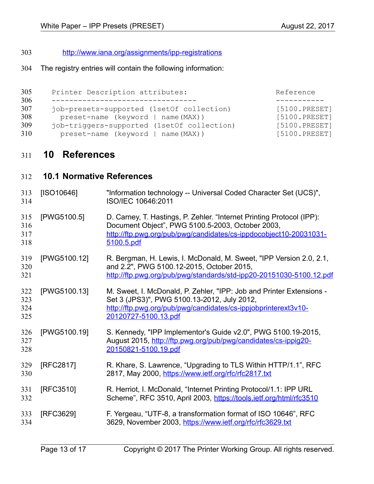<http://www.iana.org/assignments/ipp-registrations> 303

The registry entries will contain the following information: 304

| 305 | Printer Description attributes:            | Reference     |
|-----|--------------------------------------------|---------------|
| 306 |                                            |               |
| 307 | job-presets-supported (1setOf collection)  | [5100.PRESET] |
| 308 | preset-name (keyword   name(MAX))          | [5100.PRESET] |
| 309 | job-triggers-supported (1setOf collection) | [5100.PRESET] |
| 310 | preset-name (keyword   name (MAX))         | [5100.PRESET] |

# **10 References** 311

<span id="page-12-2"></span><span id="page-12-1"></span><span id="page-12-0"></span>

| 312                      | <b>10.1 Normative References</b> |                                                                                                                                                                                                               |
|--------------------------|----------------------------------|---------------------------------------------------------------------------------------------------------------------------------------------------------------------------------------------------------------|
| 313<br>314               | [ SO10646]                       | "Information technology -- Universal Coded Character Set (UCS)",<br>ISO/IEC 10646:2011                                                                                                                        |
| 315<br>316<br>317<br>318 | [PWG5100.5]                      | D. Carney, T. Hastings, P. Zehler. "Internet Printing Protocol (IPP):<br>Document Object", PWG 5100.5-2003, October 2003,<br>http://ftp.pwg.org/pub/pwg/candidates/cs-ippdocobject10-20031031-<br>5100.5.pdf  |
| 319<br>320<br>321        | [PWG5100.12]                     | R. Bergman, H. Lewis, I. McDonald, M. Sweet, "IPP Version 2.0, 2.1,<br>and 2.2", PWG 5100.12-2015, October 2015,<br>http://ftp.pwg.org/pub/pwg/standards/std-ipp20-20151030-5100.12.pdf                       |
| 322<br>323<br>324<br>325 | [PWG5100.13]                     | M. Sweet, I. McDonald, P. Zehler, "IPP: Job and Printer Extensions -<br>Set 3 (JPS3)", PWG 5100.13-2012, July 2012,<br>http://ftp.pwg.org/pub/pwg/candidates/cs-ippjobprinterext3v10-<br>20120727-5100.13.pdf |
| 326<br>327<br>328        | [PWG5100.19]                     | S. Kennedy, "IPP Implementor's Guide v2.0", PWG 5100.19-2015,<br>August 2015, http://ftp.pwg.org/pub/pwg/candidates/cs-ippig20-<br>20150821-5100.19.pdf                                                       |
| 329<br>330               | [RFC2817]                        | R. Khare, S. Lawrence, "Upgrading to TLS Within HTTP/1.1", RFC<br>2817, May 2000, https://www.ietf.org/rfc/rfc2817.txt                                                                                        |
| 331<br>332               | [RFC3510]                        | R. Herriot, I. McDonald, "Internet Printing Protocol/1.1: IPP URL<br>Scheme", RFC 3510, April 2003, https://tools.ietf.org/html/rfc3510                                                                       |
| 333<br>334               | [RFC3629]                        | F. Yergeau, "UTF-8, a transformation format of ISO 10646", RFC<br>3629, November 2003, https://www.ietf.org/rfc/rfc3629.txt                                                                                   |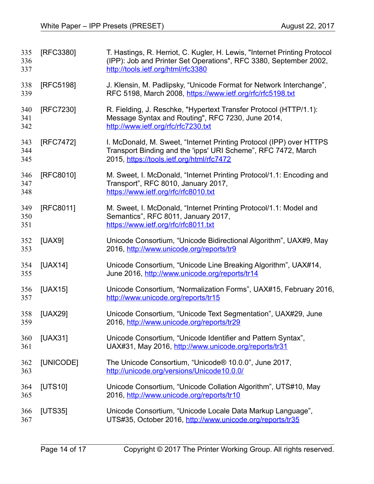<span id="page-13-12"></span><span id="page-13-11"></span><span id="page-13-10"></span><span id="page-13-9"></span><span id="page-13-8"></span><span id="page-13-7"></span><span id="page-13-6"></span><span id="page-13-5"></span><span id="page-13-4"></span><span id="page-13-3"></span><span id="page-13-2"></span><span id="page-13-1"></span><span id="page-13-0"></span>

| 335<br>336<br>337 | [RFC3380]      | T. Hastings, R. Herriot, C. Kugler, H. Lewis, "Internet Printing Protocol<br>(IPP): Job and Printer Set Operations", RFC 3380, September 2002,<br>http://tools.ietf.org/html/rfc3380 |
|-------------------|----------------|--------------------------------------------------------------------------------------------------------------------------------------------------------------------------------------|
| 338<br>339        | [RFC5198]      | J. Klensin, M. Padlipsky, "Unicode Format for Network Interchange",<br>RFC 5198, March 2008, https://www.ietf.org/rfc/rfc5198.txt                                                    |
| 340<br>341<br>342 | [RFC7230]      | R. Fielding, J. Reschke, "Hypertext Transfer Protocol (HTTP/1.1):<br>Message Syntax and Routing", RFC 7230, June 2014,<br>http://www.ietf.org/rfc/rfc7230.txt                        |
| 343<br>344<br>345 | [RFC7472]      | I. McDonald, M. Sweet, "Internet Printing Protocol (IPP) over HTTPS<br>Transport Binding and the 'ipps' URI Scheme", RFC 7472, March<br>2015, https://tools.ietf.org/html/rfc7472    |
| 346<br>347<br>348 | [RFC8010]      | M. Sweet, I. McDonald, "Internet Printing Protocol/1.1: Encoding and<br>Transport", RFC 8010, January 2017,<br>https://www.ietf.org/rfc/rfc8010.txt                                  |
| 349<br>350<br>351 | [RFC8011]      | M. Sweet, I. McDonald, "Internet Printing Protocol/1.1: Model and<br>Semantics", RFC 8011, January 2017,<br>https://www.ietf.org/rfc/rfc8011.txt                                     |
| 352<br>353        | [UAX9]         | Unicode Consortium, "Unicode Bidirectional Algorithm", UAX#9, May<br>2016, http://www.unicode.org/reports/tr9                                                                        |
| 354<br>355        | [UAX14]        | Unicode Consortium, "Unicode Line Breaking Algorithm", UAX#14,<br>June 2016, http://www.unicode.org/reports/tr14                                                                     |
| 356<br>357        | [UAX15]        | Unicode Consortium, "Normalization Forms", UAX#15, February 2016,<br>http://www.unicode.org/reports/tr15                                                                             |
| 358<br>359        | [UAX29]        | Unicode Consortium, "Unicode Text Segmentation", UAX#29, June<br>2016, http://www.unicode.org/reports/tr29                                                                           |
| 360<br>361        | <b>[UAX31]</b> | Unicode Consortium, "Unicode Identifier and Pattern Syntax",<br>UAX#31, May 2016, http://www.unicode.org/reports/tr31                                                                |
| 362<br>363        | [UNICODE]      | The Unicode Consortium, "Unicode® 10.0.0", June 2017,<br>http://unicode.org/versions/Unicode10.0.0/                                                                                  |
| 364<br>365        | [UTS10]        | Unicode Consortium, "Unicode Collation Algorithm", UTS#10, May<br>2016, http://www.unicode.org/reports/tr10                                                                          |
| 366<br>367        | [UTS35]        | Unicode Consortium, "Unicode Locale Data Markup Language",<br>UTS#35, October 2016, http://www.unicode.org/reports/tr35                                                              |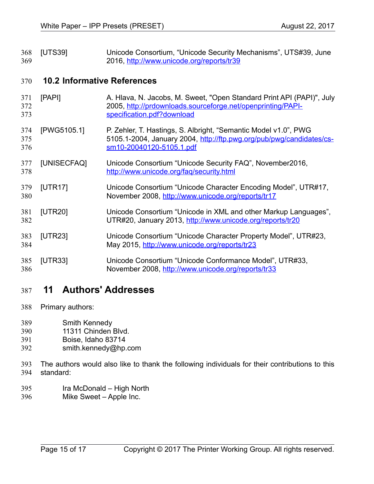<span id="page-14-3"></span>[UTS39] Unicode Consortium, "Unicode Security Mechanisms", UTS#39, June 2016,<http://www.unicode.org/reports/tr39> 368 369

# **10.2 Informative References** 370

<span id="page-14-7"></span><span id="page-14-2"></span><span id="page-14-1"></span><span id="page-14-0"></span>

| 371<br>372<br>373 | [PAPI]      | A. Hlava, N. Jacobs, M. Sweet, "Open Standard Print API (PAPI)", July<br>2005, http://prdownloads.sourceforge.net/openprinting/PAPI-<br>specification.pdf?download  |
|-------------------|-------------|---------------------------------------------------------------------------------------------------------------------------------------------------------------------|
| 374<br>375<br>376 | [PWG5105.1] | P. Zehler, T. Hastings, S. Albright, "Semantic Model v1.0", PWG<br>5105.1-2004, January 2004, http://ftp.pwg.org/pub/pwg/candidates/cs-<br>sm10-20040120-5105.1.pdf |
| 377<br>378        | [UNISECFAQ] | Unicode Consortium "Unicode Security FAQ", November2016,<br>http://www.unicode.org/faq/security.html                                                                |
| 379<br>380        | [UTR17]     | Unicode Consortium "Unicode Character Encoding Model", UTR#17,<br>November 2008, http://www.unicode.org/reports/tr17                                                |
| 381<br>382        | [UTR20]     | Unicode Consortium "Unicode in XML and other Markup Languages",<br>UTR#20, January 2013, http://www.unicode.org/reports/tr20                                        |
| 383<br>384        | [UTR23]     | Unicode Consortium "Unicode Character Property Model", UTR#23,<br>May 2015, http://www.unicode.org/reports/tr23                                                     |
| 385<br>386        | [UTR33]     | Unicode Consortium "Unicode Conformance Model", UTR#33,<br>November 2008, http://www.unicode.org/reports/tr33                                                       |

# <span id="page-14-6"></span><span id="page-14-5"></span><span id="page-14-4"></span> **11 Authors' Addresses** 387

- Primary authors: 388
- Smith Kennedy 389
- 11311 Chinden Blvd. 390
- Boise, Idaho 83714 391
- smith.kennedy@hp.com 392
- The authors would also like to thank the following individuals for their contributions to this standard: 393 394
- Ira McDonald High North 395
- Mike Sweet Apple Inc. 396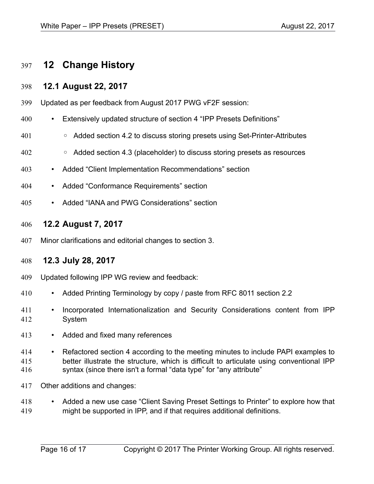# **12 Change History** 397

## **12.1 August 22, 2017** 398

- Updated as per feedback from August 2017 PWG vF2F session: 399
- Extensively updated structure of section 4 "IPP Presets Definitions" 400
- Added section 4.2 to discuss storing presets using Set-Printer-Attributes 401
- Added section 4.3 (placeholder) to discuss storing presets as resources 402
- Added "Client Implementation Recommendations" section 403
- Added "Conformance Requirements" section 404
- Added "IANA and PWG Considerations" section 405

### **12.2 August 7, 2017** 406

Minor clarifications and editorial changes to section 3. 407

## **12.3 July 28, 2017** 408

- Updated following IPP WG review and feedback: 409
- Added Printing Terminology by copy / paste from RFC 8011 section 2.2 410
- Incorporated Internationalization and Security Considerations content from IPP System 411 412
- Added and fixed many references 413
- Refactored section 4 according to the meeting minutes to include PAPI examples to better illustrate the structure, which is difficult to articulate using conventional IPP syntax (since there isn't a formal "data type" for "any attribute" 414 415 416
- Other additions and changes: 417
- Added a new use case "Client Saving Preset Settings to Printer" to explore how that might be supported in IPP, and if that requires additional definitions. 418 419